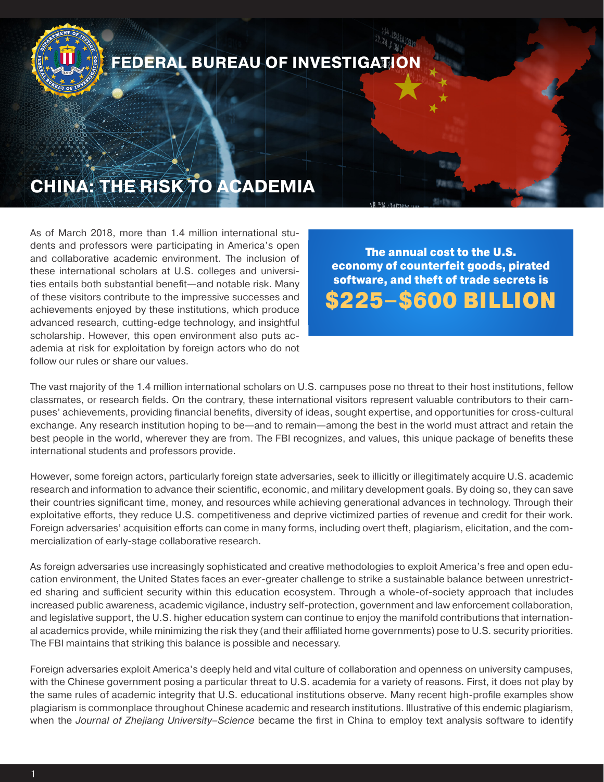

As of March 2018, more than 1.4 million international students and professors were participating in America's open and collaborative academic environment. The inclusion of these international scholars at U.S. colleges and universities entails both substantial benefit—and notable risk. Many of these visitors contribute to the impressive successes and achievements enjoyed by these institutions, which produce advanced research, cutting-edge technology, and insightful scholarship. However, this open environment also puts academia at risk for exploitation by foreign actors who do not follow our rules or share our values.

The annual cost to the U.S. economy of counterfeit goods, pirated software, and theft of trade secrets is \$225–\$600 BILLION

The vast majority of the 1.4 million international scholars on U.S. campuses pose no threat to their host institutions, fellow classmates, or research fields. On the contrary, these international visitors represent valuable contributors to their campuses' achievements, providing financial benefits, diversity of ideas, sought expertise, and opportunities for cross-cultural exchange. Any research institution hoping to be—and to remain—among the best in the world must attract and retain the best people in the world, wherever they are from. The FBI recognizes, and values, this unique package of benefits these international students and professors provide.

However, some foreign actors, particularly foreign state adversaries, seek to illicitly or illegitimately acquire U.S. academic research and information to advance their scientific, economic, and military development goals. By doing so, they can save their countries significant time, money, and resources while achieving generational advances in technology. Through their exploitative efforts, they reduce U.S. competitiveness and deprive victimized parties of revenue and credit for their work. Foreign adversaries' acquisition efforts can come in many forms, including overt theft, plagiarism, elicitation, and the commercialization of early-stage collaborative research.

As foreign adversaries use increasingly sophisticated and creative methodologies to exploit America's free and open education environment, the United States faces an ever-greater challenge to strike a sustainable balance between unrestricted sharing and sufficient security within this education ecosystem. Through a whole-of-society approach that includes increased public awareness, academic vigilance, industry self-protection, government and law enforcement collaboration, and legislative support, the U.S. higher education system can continue to enjoy the manifold contributions that international academics provide, while minimizing the risk they (and their affiliated home governments) pose to U.S. security priorities. The FBI maintains that striking this balance is possible and necessary.

Foreign adversaries exploit America's deeply held and vital culture of collaboration and openness on university campuses, with the Chinese government posing a particular threat to U.S. academia for a variety of reasons. First, it does not play by the same rules of academic integrity that U.S. educational institutions observe. Many recent high-profile examples show plagiarism is commonplace throughout Chinese academic and research institutions. Illustrative of this endemic plagiarism, when the *Journal of Zhejiang University–Science* became the first in China to employ text analysis software to identify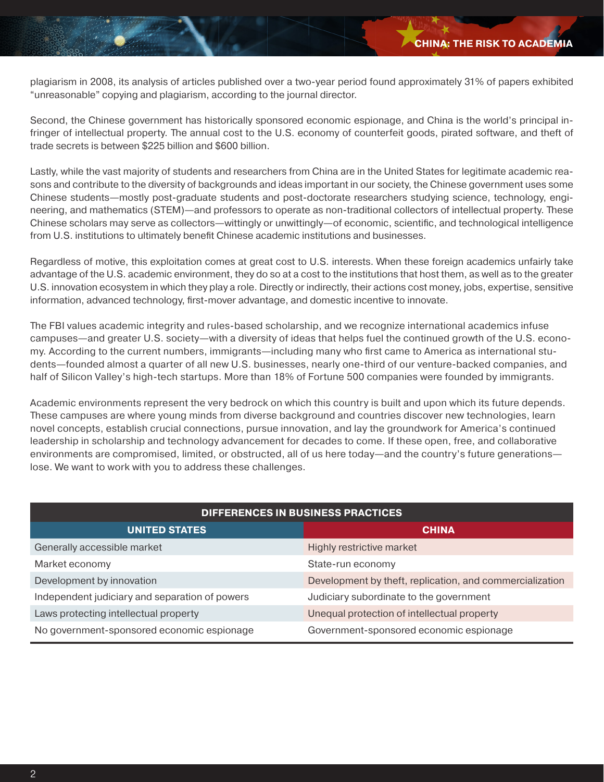plagiarism in 2008, its analysis of articles published over a two-year period found approximately 31% of papers exhibited "unreasonable" copying and plagiarism, according to the journal director.

Second, the Chinese government has historically sponsored economic espionage, and China is the world's principal infringer of intellectual property. The annual cost to the U.S. economy of counterfeit goods, pirated software, and theft of trade secrets is between \$225 billion and \$600 billion.

Lastly, while the vast majority of students and researchers from China are in the United States for legitimate academic reasons and contribute to the diversity of backgrounds and ideas important in our society, the Chinese government uses some Chinese students—mostly post-graduate students and post-doctorate researchers studying science, technology, engineering, and mathematics (STEM)—and professors to operate as non-traditional collectors of intellectual property. These Chinese scholars may serve as collectors—wittingly or unwittingly—of economic, scientific, and technological intelligence from U.S. institutions to ultimately benefit Chinese academic institutions and businesses.

Regardless of motive, this exploitation comes at great cost to U.S. interests. When these foreign academics unfairly take advantage of the U.S. academic environment, they do so at a cost to the institutions that host them, as well as to the greater U.S. innovation ecosystem in which they play a role. Directly or indirectly, their actions cost money, jobs, expertise, sensitive information, advanced technology, first-mover advantage, and domestic incentive to innovate.

The FBI values academic integrity and rules-based scholarship, and we recognize international academics infuse campuses—and greater U.S. society—with a diversity of ideas that helps fuel the continued growth of the U.S. economy. According to the current numbers, immigrants—including many who first came to America as international students—founded almost a quarter of all new U.S. businesses, nearly one-third of our venture-backed companies, and half of Silicon Valley's high-tech startups. More than 18% of Fortune 500 companies were founded by immigrants.

Academic environments represent the very bedrock on which this country is built and upon which its future depends. These campuses are where young minds from diverse background and countries discover new technologies, learn novel concepts, establish crucial connections, pursue innovation, and lay the groundwork for America's continued leadership in scholarship and technology advancement for decades to come. If these open, free, and collaborative environments are compromised, limited, or obstructed, all of us here today—and the country's future generations lose. We want to work with you to address these challenges.

| <b>DIFFERENCES IN BUSINESS PRACTICES</b>       |                                                          |  |  |
|------------------------------------------------|----------------------------------------------------------|--|--|
| UNITED STATES                                  | <b>CHINA</b>                                             |  |  |
| Generally accessible market                    | Highly restrictive market                                |  |  |
| Market economy                                 | State-run economy                                        |  |  |
| Development by innovation                      | Development by theft, replication, and commercialization |  |  |
| Independent judiciary and separation of powers | Judiciary subordinate to the government                  |  |  |
| Laws protecting intellectual property          | Unequal protection of intellectual property              |  |  |
| No government-sponsored economic espionage     | Government-sponsored economic espionage                  |  |  |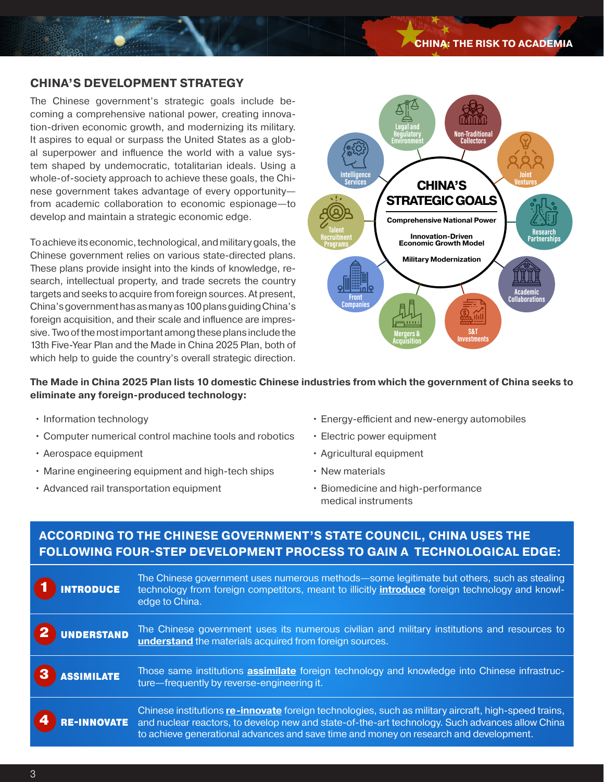# **CHINA'S DEVELOPMENT STRATEGY**

The Chinese government's strategic goals include becoming a comprehensive national power, creating innovation-driven economic growth, and modernizing its military. It aspires to equal or surpass the United States as a global superpower and influence the world with a value system shaped by undemocratic, totalitarian ideals. Using a whole-of-society approach to achieve these goals, the Chinese government takes advantage of every opportunity from academic collaboration to economic espionage—to develop and maintain a strategic economic edge.

To achieve its economic, technological, and military goals, the Chinese government relies on various state-directed plans. These plans provide insight into the kinds of knowledge, research, intellectual property, and trade secrets the country targets and seeks to acquire from foreign sources. At present, China's government has as many as 100 plans guiding China's foreign acquisition, and their scale and influence are impressive. Two of the most important among these plans include the 13th Five-Year Plan and the Made in China 2025 Plan, both of which help to guide the country's overall strategic direction.



**The Made in China 2025 Plan lists 10 domestic Chinese industries from which the government of China seeks to eliminate any foreign-produced technology:**

- Information technology
- Computer numerical control machine tools and robotics
- Aerospace equipment
- Marine engineering equipment and high-tech ships
- Advanced rail transportation equipment
- Energy-efficient and new-energy automobiles
- Electric power equipment
- Agricultural equipment
- New materials
- Biomedicine and high-performance medical instruments

# **ACCORDING TO THE CHINESE GOVERNMENT'S STATE COUNCIL, CHINA USES THE FOLLOWING FOUR-STEP DEVELOPMENT PROCESS TO GAIN A TECHNOLOGICAL EDGE:**

| INTRODUCE                              | The Chinese government uses numerous methods—some legitimate but others, such as stealing<br>technology from foreign competitors, meant to illicitly <b>introduce</b> foreign technology and knowl-<br>edge to China.                                                                            |
|----------------------------------------|--------------------------------------------------------------------------------------------------------------------------------------------------------------------------------------------------------------------------------------------------------------------------------------------------|
| UNDERSTAND                             | The Chinese government uses its numerous civilian and military institutions and resources to                                                                                                                                                                                                     |
| $\boxed{2}$                            | understand the materials acquired from foreign sources.                                                                                                                                                                                                                                          |
| ASSIMILATE                             | Those same institutions <b>assimilate</b> foreign technology and knowledge into Chinese infrastruc-                                                                                                                                                                                              |
| $\mathbf{3}$                           | ture-frequently by reverse-engineering it.                                                                                                                                                                                                                                                       |
| RE-INNOVATE<br>$\overline{\mathbf{4}}$ | Chinese institutions re-innovate foreign technologies, such as military aircraft, high-speed trains,<br>and nuclear reactors, to develop new and state-of-the-art technology. Such advances allow China<br>to achieve generational advances and save time and money on research and development. |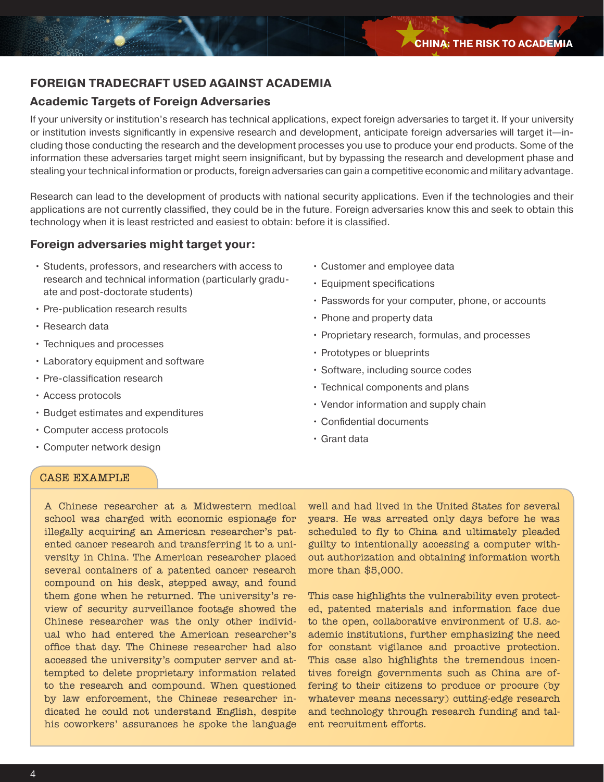# **FOREIGN TRADECRAFT USED AGAINST ACADEMIA**

# **Academic Targets of Foreign Adversaries**

If your university or institution's research has technical applications, expect foreign adversaries to target it. If your university or institution invests significantly in expensive research and development, anticipate foreign adversaries will target it—including those conducting the research and the development processes you use to produce your end products. Some of the information these adversaries target might seem insignificant, but by bypassing the research and development phase and stealing your technical information or products, foreign adversaries can gain a competitive economic and military advantage.

Research can lead to the development of products with national security applications. Even if the technologies and their applications are not currently classified, they could be in the future. Foreign adversaries know this and seek to obtain this technology when it is least restricted and easiest to obtain: before it is classified.

# **Foreign adversaries might target your:**

- Students, professors, and researchers with access to research and technical information (particularly graduate and post-doctorate students)
- Pre-publication research results
- Research data
- Techniques and processes
- Laboratory equipment and software
- Pre-classification research
- Access protocols
- Budget estimates and expenditures
- Computer access protocols
- Computer network design
- Customer and employee data
- Equipment specifications
- Passwords for your computer, phone, or accounts
- Phone and property data
- Proprietary research, formulas, and processes
- Prototypes or blueprints
- Software, including source codes
- Technical components and plans
- Vendor information and supply chain
- Confidential documents
- Grant data

# CASE EXAMPLE

A Chinese researcher at a Midwestern medical school was charged with economic espionage for illegally acquiring an American researcher's patented cancer research and transferring it to a university in China. The American researcher placed several containers of a patented cancer research compound on his desk, stepped away, and found them gone when he returned. The university's review of security surveillance footage showed the Chinese researcher was the only other individual who had entered the American researcher's office that day. The Chinese researcher had also accessed the university's computer server and attempted to delete proprietary information related to the research and compound. When questioned by law enforcement, the Chinese researcher indicated he could not understand English, despite his coworkers' assurances he spoke the language

well and had lived in the United States for several years. He was arrested only days before he was scheduled to fly to China and ultimately pleaded guilty to intentionally accessing a computer without authorization and obtaining information worth more than \$5,000.

This case highlights the vulnerability even protected, patented materials and information face due to the open, collaborative environment of U.S. academic institutions, further emphasizing the need for constant vigilance and proactive protection. This case also highlights the tremendous incentives foreign governments such as China are offering to their citizens to produce or procure (by whatever means necessary) cutting-edge research and technology through research funding and talent recruitment efforts.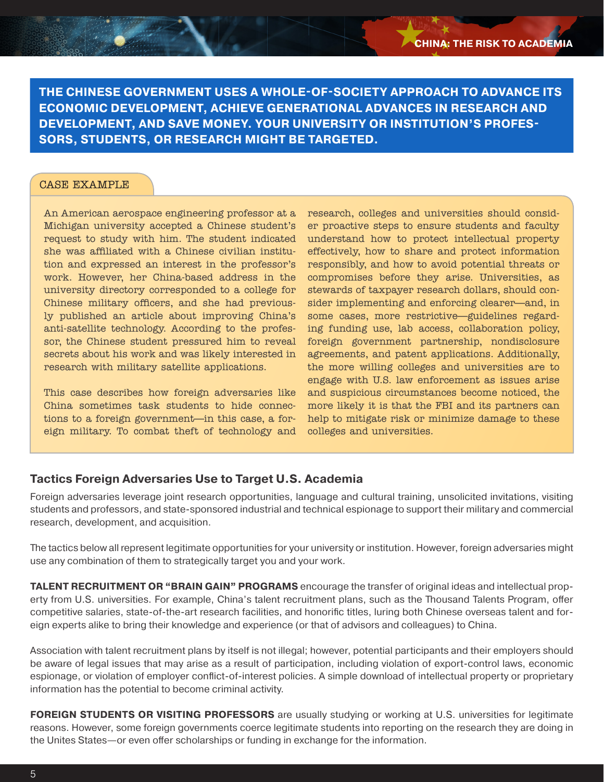**THE CHINESE GOVERNMENT USES A WHOLE-OF-SOCIETY APPROACH TO ADVANCE ITS ECONOMIC DEVELOPMENT, ACHIEVE GENERATIONAL ADVANCES IN RESEARCH AND DEVELOPMENT, AND SAVE MONEY. YOUR UNIVERSITY OR INSTITUTION'S PROFES-SORS, STUDENTS, OR RESEARCH MIGHT BE TARGETED.**

#### CASE EXAMPLE

An American aerospace engineering professor at a Michigan university accepted a Chinese student's request to study with him. The student indicated she was affiliated with a Chinese civilian institution and expressed an interest in the professor's work. However, her China-based address in the university directory corresponded to a college for Chinese military officers, and she had previously published an article about improving China's anti-satellite technology. According to the professor, the Chinese student pressured him to reveal secrets about his work and was likely interested in research with military satellite applications.

This case describes how foreign adversaries like China sometimes task students to hide connections to a foreign government—in this case, a foreign military. To combat theft of technology and research, colleges and universities should consider proactive steps to ensure students and faculty understand how to protect intellectual property effectively, how to share and protect information responsibly, and how to avoid potential threats or compromises before they arise. Universities, as stewards of taxpayer research dollars, should consider implementing and enforcing clearer—and, in some cases, more restrictive—guidelines regarding funding use, lab access, collaboration policy, foreign government partnership, nondisclosure agreements, and patent applications. Additionally, the more willing colleges and universities are to engage with U.S. law enforcement as issues arise and suspicious circumstances become noticed, the more likely it is that the FBI and its partners can help to mitigate risk or minimize damage to these colleges and universities.

## **Tactics Foreign Adversaries Use to Target U.S. Academia**

Foreign adversaries leverage joint research opportunities, language and cultural training, unsolicited invitations, visiting students and professors, and state-sponsored industrial and technical espionage to support their military and commercial research, development, and acquisition.

The tactics below all represent legitimate opportunities for your university or institution. However, foreign adversaries might use any combination of them to strategically target you and your work.

**TALENT RECRUITMENT OR "BRAIN GAIN" PROGRAMS** encourage the transfer of original ideas and intellectual property from U.S. universities. For example, China's talent recruitment plans, such as the Thousand Talents Program, offer competitive salaries, state-of-the-art research facilities, and honorific titles, luring both Chinese overseas talent and foreign experts alike to bring their knowledge and experience (or that of advisors and colleagues) to China.

Association with talent recruitment plans by itself is not illegal; however, potential participants and their employers should be aware of legal issues that may arise as a result of participation, including violation of export-control laws, economic espionage, or violation of employer conflict-of-interest policies. A simple download of intellectual property or proprietary information has the potential to become criminal activity.

**FOREIGN STUDENTS OR VISITING PROFESSORS** are usually studying or working at U.S. universities for legitimate reasons. However, some foreign governments coerce legitimate students into reporting on the research they are doing in the Unites States—or even offer scholarships or funding in exchange for the information.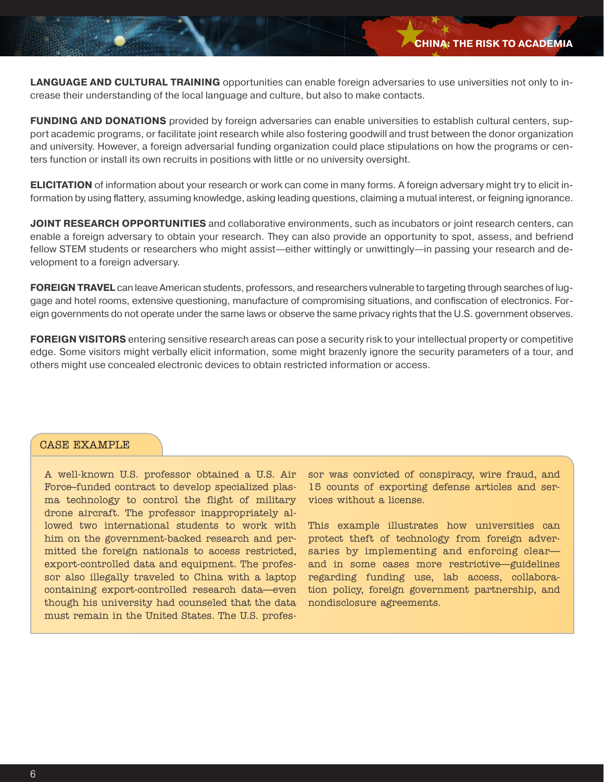**LANGUAGE AND CULTURAL TRAINING** opportunities can enable foreign adversaries to use universities not only to increase their understanding of the local language and culture, but also to make contacts.

**FUNDING AND DONATIONS** provided by foreign adversaries can enable universities to establish cultural centers, support academic programs, or facilitate joint research while also fostering goodwill and trust between the donor organization and university. However, a foreign adversarial funding organization could place stipulations on how the programs or centers function or install its own recruits in positions with little or no university oversight.

**ELICITATION** of information about your research or work can come in many forms. A foreign adversary might try to elicit information by using flattery, assuming knowledge, asking leading questions, claiming a mutual interest, or feigning ignorance.

**JOINT RESEARCH OPPORTUNITIES** and collaborative environments, such as incubators or joint research centers, can enable a foreign adversary to obtain your research. They can also provide an opportunity to spot, assess, and befriend fellow STEM students or researchers who might assist—either wittingly or unwittingly—in passing your research and development to a foreign adversary.

**FOREIGN TRAVEL** can leave American students, professors, and researchers vulnerable to targeting through searches of luggage and hotel rooms, extensive questioning, manufacture of compromising situations, and confiscation of electronics. Foreign governments do not operate under the same laws or observe the same privacy rights that the U.S. government observes.

**FOREIGN VISITORS** entering sensitive research areas can pose a security risk to your intellectual property or competitive edge. Some visitors might verbally elicit information, some might brazenly ignore the security parameters of a tour, and others might use concealed electronic devices to obtain restricted information or access.

# CASE EXAMPLE

A well-known U.S. professor obtained a U.S. Air Force–funded contract to develop specialized plasma technology to control the flight of military drone aircraft. The professor inappropriately allowed two international students to work with him on the government-backed research and permitted the foreign nationals to access restricted, export-controlled data and equipment. The professor also illegally traveled to China with a laptop containing export-controlled research data—even though his university had counseled that the data must remain in the United States. The U.S. professor was convicted of conspiracy, wire fraud, and 15 counts of exporting defense articles and services without a license.

This example illustrates how universities can protect theft of technology from foreign adversaries by implementing and enforcing clear and in some cases more restrictive—guidelines regarding funding use, lab access, collaboration policy, foreign government partnership, and nondisclosure agreements.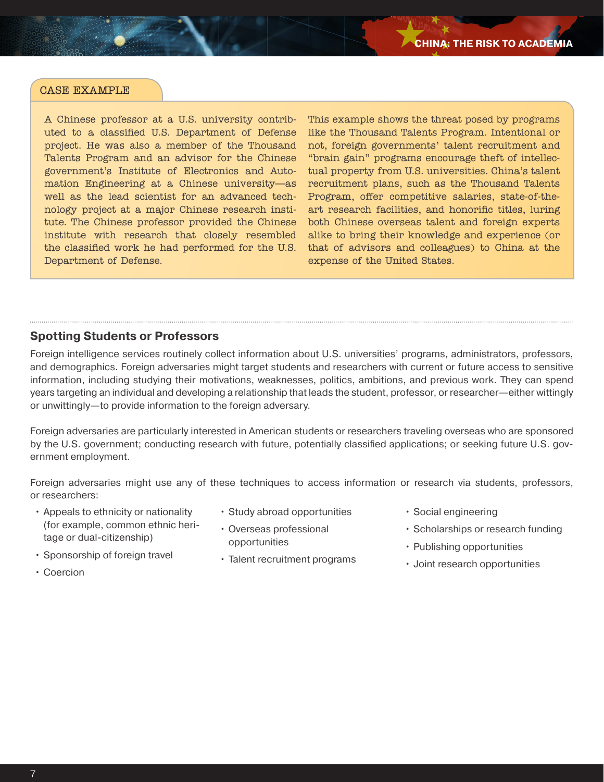A Chinese professor at a U.S. university contributed to a classified U.S. Department of Defense project. He was also a member of the Thousand Talents Program and an advisor for the Chinese government's Institute of Electronics and Automation Engineering at a Chinese university—as well as the lead scientist for an advanced technology project at a major Chinese research institute. The Chinese professor provided the Chinese institute with research that closely resembled the classified work he had performed for the U.S. Department of Defense.

This example shows the threat posed by programs like the Thousand Talents Program. Intentional or not, foreign governments' talent recruitment and "brain gain" programs encourage theft of intellectual property from U.S. universities. China's talent recruitment plans, such as the Thousand Talents Program, offer competitive salaries, state-of-theart research facilities, and honorific titles, luring both Chinese overseas talent and foreign experts alike to bring their knowledge and experience (or that of advisors and colleagues) to China at the expense of the United States.

## **Spotting Students or Professors**

Foreign intelligence services routinely collect information about U.S. universities' programs, administrators, professors, and demographics. Foreign adversaries might target students and researchers with current or future access to sensitive information, including studying their motivations, weaknesses, politics, ambitions, and previous work. They can spend years targeting an individual and developing a relationship that leads the student, professor, or researcher—either wittingly or unwittingly—to provide information to the foreign adversary.

Foreign adversaries are particularly interested in American students or researchers traveling overseas who are sponsored by the U.S. government; conducting research with future, potentially classified applications; or seeking future U.S. government employment.

Foreign adversaries might use any of these techniques to access information or research via students, professors, or researchers:

- Appeals to ethnicity or nationality (for example, common ethnic heritage or dual-citizenship)
- Study abroad opportunities
- Overseas professional opportunities
- Sponsorship of foreign travel
- Coercion
- Talent recruitment programs
- Social engineering
- Scholarships or research funding
- Publishing opportunities
- Joint research opportunities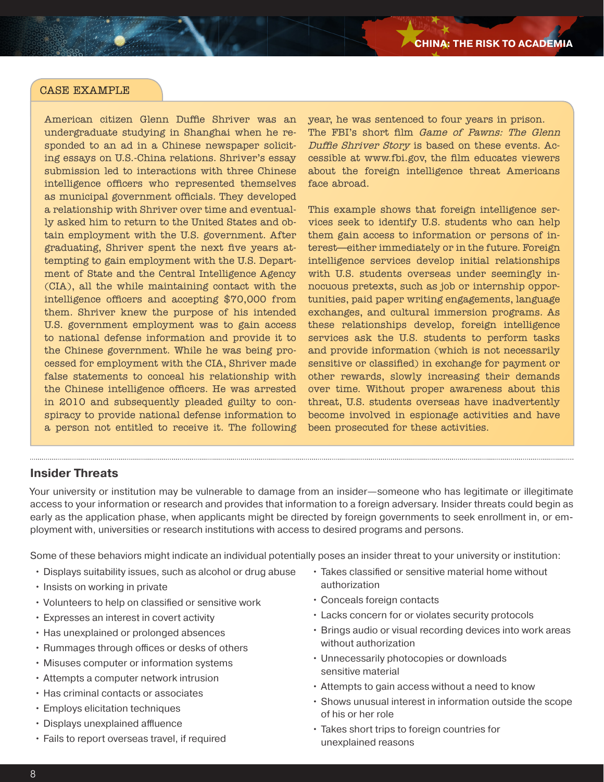American citizen Glenn Duffie Shriver was an undergraduate studying in Shanghai when he responded to an ad in a Chinese newspaper soliciting essays on U.S.-China relations. Shriver's essay submission led to interactions with three Chinese intelligence officers who represented themselves as municipal government officials. They developed a relationship with Shriver over time and eventually asked him to return to the United States and obtain employment with the U.S. government. After graduating, Shriver spent the next five years attempting to gain employment with the U.S. Department of State and the Central Intelligence Agency (CIA), all the while maintaining contact with the intelligence officers and accepting \$70,000 from them. Shriver knew the purpose of his intended U.S. government employment was to gain access to national defense information and provide it to the Chinese government. While he was being processed for employment with the CIA, Shriver made false statements to conceal his relationship with the Chinese intelligence officers. He was arrested in 2010 and subsequently pleaded guilty to conspiracy to provide national defense information to a person not entitled to receive it. The following year, he was sentenced to four years in prison. The FBI's short film Game of Pawns: The Glenn Duffie Shriver Story is based on these events. Accessible at www.fbi.gov, the film educates viewers about the foreign intelligence threat Americans face abroad.

This example shows that foreign intelligence services seek to identify U.S. students who can help them gain access to information or persons of interest—either immediately or in the future. Foreign intelligence services develop initial relationships with U.S. students overseas under seemingly innocuous pretexts, such as job or internship opportunities, paid paper writing engagements, language exchanges, and cultural immersion programs. As these relationships develop, foreign intelligence services ask the U.S. students to perform tasks and provide information (which is not necessarily sensitive or classified) in exchange for payment or other rewards, slowly increasing their demands over time. Without proper awareness about this threat, U.S. students overseas have inadvertently become involved in espionage activities and have been prosecuted for these activities.

#### **Insider Threats**

Your university or institution may be vulnerable to damage from an insider—someone who has legitimate or illegitimate access to your information or research and provides that information to a foreign adversary. Insider threats could begin as early as the application phase, when applicants might be directed by foreign governments to seek enrollment in, or employment with, universities or research institutions with access to desired programs and persons.

Some of these behaviors might indicate an individual potentially poses an insider threat to your university or institution:

- Displays suitability issues, such as alcohol or drug abuse
- Insists on working in private
- Volunteers to help on classified or sensitive work
- Expresses an interest in covert activity
- Has unexplained or prolonged absences
- Rummages through offices or desks of others
- Misuses computer or information systems
- Attempts a computer network intrusion
- Has criminal contacts or associates
- Employs elicitation techniques
- Displays unexplained affluence
- Fails to report overseas travel, if required
- Takes classified or sensitive material home without authorization
- Conceals foreign contacts
- Lacks concern for or violates security protocols
- Brings audio or visual recording devices into work areas without authorization
- Unnecessarily photocopies or downloads sensitive material
- Attempts to gain access without a need to know
- Shows unusual interest in information outside the scope of his or her role
- Takes short trips to foreign countries for unexplained reasons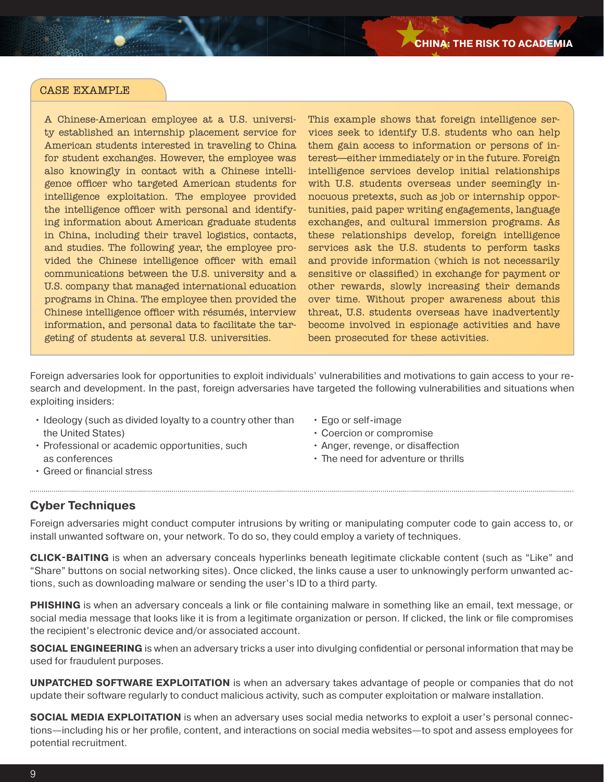A Chinese-American employee at a U.S. university established an internship placement service for American students interested in traveling to China for student exchanges. However, the employee was also knowingly in contact with a Chinese intelligence officer who targeted American students for intelligence exploitation. The employee provided the intelligence officer with personal and identifying information about American graduate students in China, including their travel logistics, contacts, and studies. The following year, the employee provided the Chinese intelligence officer with email communications between the U.S. university and a U.S. company that managed international education programs in China. The employee then provided the Chinese intelligence officer with résumés, interview information, and personal data to facilitate the targeting of students at several U.S. universities.

This example shows that foreign intelligence services seek to identify U.S. students who can help them gain access to information or persons of interest—either immediately or in the future. Foreign intelligence services develop initial relationships with U.S. students overseas under seemingly innocuous pretexts, such as job or internship opportunities, paid paper writing engagements, language exchanges, and cultural immersion programs. As these relationships develop, foreign intelligence services ask the U.S. students to perform tasks and provide information (which is not necessarily sensitive or classified) in exchange for payment or other rewards, slowly increasing their demands over time. Without proper awareness about this threat, U.S. students overseas have inadvertently become involved in espionage activities and have been prosecuted for these activities.

Foreign adversaries look for opportunities to exploit individuals' vulnerabilities and motivations to gain access to your research and development. In the past, foreign adversaries have targeted the following vulnerabilities and situations when exploiting insiders:

- Ideology (such as divided loyalty to a country other than the United States)
- Professional or academic opportunities, such as conferences
- Ego or self-image
- Coercion or compromise
- Anger, revenge, or disaffection
- The need for adventure or thrills

Greed or financial stress

## **Cyber Techniques**

Foreign adversaries might conduct computer intrusions by writing or manipulating computer code to gain access to, or install unwanted software on, your network. To do so, they could employ a variety of techniques.

**CLICK-BAITING** is when an adversary conceals hyperlinks beneath legitimate clickable content (such as "Like" and "Share" buttons on social networking sites). Once clicked, the links cause a user to unknowingly perform unwanted actions, such as downloading malware or sending the user's ID to a third party.

**PHISHING** is when an adversary conceals a link or file containing malware in something like an email, text message, or social media message that looks like it is from a legitimate organization or person. If clicked, the link or file compromises the recipient's electronic device and/or associated account.

**SOCIAL ENGINEERING** is when an adversary tricks a user into divulging confidential or personal information that may be used for fraudulent purposes.

**UNPATCHED SOFTWARE EXPLOITATION** is when an adversary takes advantage of people or companies that do not update their software regularly to conduct malicious activity, such as computer exploitation or malware installation.

**SOCIAL MEDIA EXPLOITATION** is when an adversary uses social media networks to exploit a user's personal connections—including his or her profile, content, and interactions on social media websites—to spot and assess employees for potential recruitment.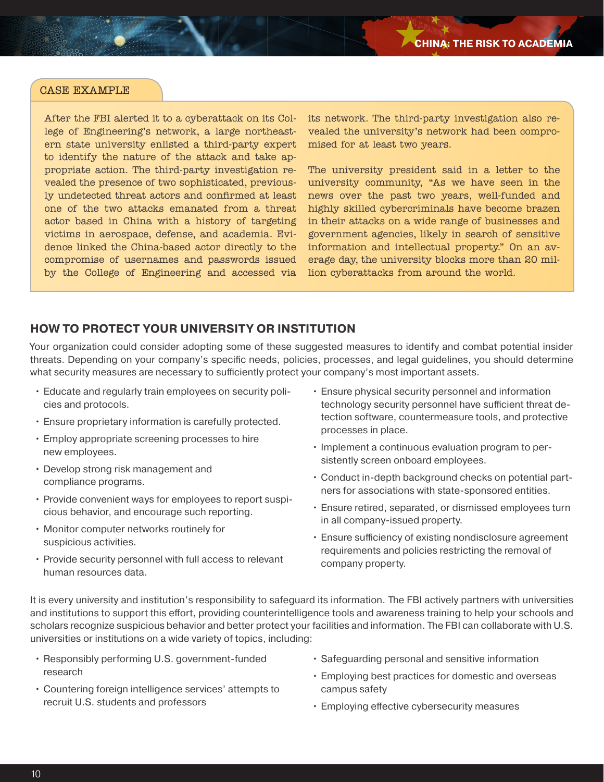After the FBI alerted it to a cyberattack on its College of Engineering's network, a large northeastern state university enlisted a third-party expert to identify the nature of the attack and take appropriate action. The third-party investigation revealed the presence of two sophisticated, previously undetected threat actors and confirmed at least one of the two attacks emanated from a threat actor based in China with a history of targeting victims in aerospace, defense, and academia. Evidence linked the China-based actor directly to the compromise of usernames and passwords issued by the College of Engineering and accessed via

its network. The third-party investigation also revealed the university's network had been compromised for at least two years.

The university president said in a letter to the university community, "As we have seen in the news over the past two years, well-funded and highly skilled cybercriminals have become brazen in their attacks on a wide range of businesses and government agencies, likely in search of sensitive information and intellectual property." On an average day, the university blocks more than 20 million cyberattacks from around the world.

# **HOW TO PROTECT YOUR UNIVERSITY OR INSTITUTION**

Your organization could consider adopting some of these suggested measures to identify and combat potential insider threats. Depending on your company's specific needs, policies, processes, and legal guidelines, you should determine what security measures are necessary to sufficiently protect your company's most important assets.

- Educate and regularly train employees on security policies and protocols.
- Ensure proprietary information is carefully protected.
- Employ appropriate screening processes to hire new employees.
- Develop strong risk management and compliance programs.
- Provide convenient ways for employees to report suspicious behavior, and encourage such reporting.
- Monitor computer networks routinely for suspicious activities.
- Provide security personnel with full access to relevant human resources data.
- Ensure physical security personnel and information technology security personnel have sufficient threat detection software, countermeasure tools, and protective processes in place.
- Implement a continuous evaluation program to persistently screen onboard employees.
- Conduct in-depth background checks on potential partners for associations with state-sponsored entities.
- Ensure retired, separated, or dismissed employees turn in all company-issued property.
- Ensure sufficiency of existing nondisclosure agreement requirements and policies restricting the removal of company property.

It is every university and institution's responsibility to safeguard its information. The FBI actively partners with universities and institutions to support this effort, providing counterintelligence tools and awareness training to help your schools and scholars recognize suspicious behavior and better protect your facilities and information. The FBI can collaborate with U.S. universities or institutions on a wide variety of topics, including:

- Responsibly performing U.S. government-funded research
- Countering foreign intelligence services' attempts to recruit U.S. students and professors
- Safeguarding personal and sensitive information
- Employing best practices for domestic and overseas campus safety
- Employing effective cybersecurity measures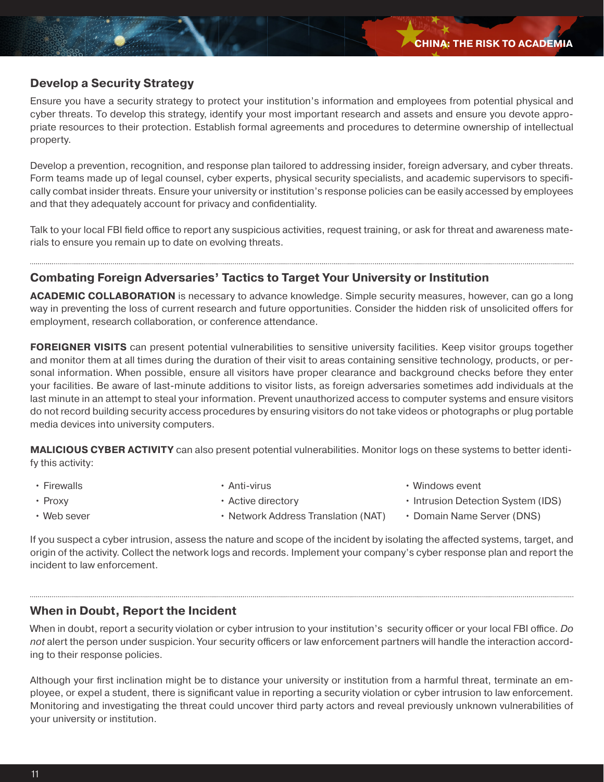# **Develop a Security Strategy**

Ensure you have a security strategy to protect your institution's information and employees from potential physical and cyber threats. To develop this strategy, identify your most important research and assets and ensure you devote appropriate resources to their protection. Establish formal agreements and procedures to determine ownership of intellectual property.

Develop a prevention, recognition, and response plan tailored to addressing insider, foreign adversary, and cyber threats. Form teams made up of legal counsel, cyber experts, physical security specialists, and academic supervisors to specifically combat insider threats. Ensure your university or institution's response policies can be easily accessed by employees and that they adequately account for privacy and confidentiality.

Talk to your local FBI field office to report any suspicious activities, request training, or ask for threat and awareness materials to ensure you remain up to date on evolving threats.

# **Combating Foreign Adversaries' Tactics to Target Your University or Institution**

**ACADEMIC COLLABORATION** is necessary to advance knowledge. Simple security measures, however, can go a long way in preventing the loss of current research and future opportunities. Consider the hidden risk of unsolicited offers for employment, research collaboration, or conference attendance.

**FOREIGNER VISITS** can present potential vulnerabilities to sensitive university facilities. Keep visitor groups together and monitor them at all times during the duration of their visit to areas containing sensitive technology, products, or personal information. When possible, ensure all visitors have proper clearance and background checks before they enter your facilities. Be aware of last-minute additions to visitor lists, as foreign adversaries sometimes add individuals at the last minute in an attempt to steal your information. Prevent unauthorized access to computer systems and ensure visitors do not record building security access procedures by ensuring visitors do not take videos or photographs or plug portable media devices into university computers.

**MALICIOUS CYBER ACTIVITY** can also present potential vulnerabilities. Monitor logs on these systems to better identify this activity:

• Firewalls

• Anti-virus

• Windows event

• Proxy

• Active directory

• Intrusion Detection System (IDS)

• Web sever

- Network Address Translation (NAT)
- Domain Name Server (DNS)

If you suspect a cyber intrusion, assess the nature and scope of the incident by isolating the affected systems, target, and origin of the activity. Collect the network logs and records. Implement your company's cyber response plan and report the incident to law enforcement.

# **When in Doubt, Report the Incident**

When in doubt, report a security violation or cyber intrusion to your institution's security officer or your local FBI office. *Do not* alert the person under suspicion. Your security officers or law enforcement partners will handle the interaction according to their response policies.

Although your first inclination might be to distance your university or institution from a harmful threat, terminate an employee, or expel a student, there is significant value in reporting a security violation or cyber intrusion to law enforcement. Monitoring and investigating the threat could uncover third party actors and reveal previously unknown vulnerabilities of your university or institution.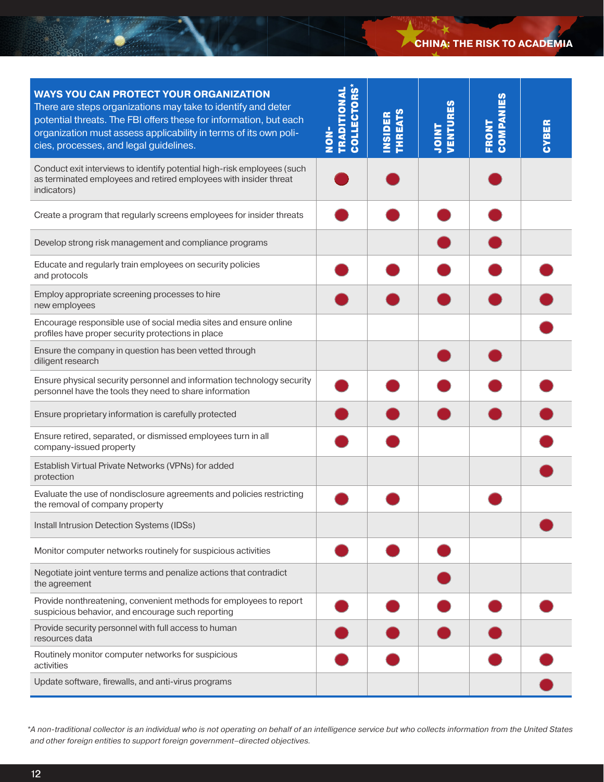# **CHINA: THE RISK TO ACADEMIA**

| <b>WAYS YOU CAN PROTECT YOUR ORGANIZATION</b><br>There are steps organizations may take to identify and deter<br>potential threats. The FBI offers these for information, but each<br>organization must assess applicability in terms of its own poli-<br>cies, processes, and legal guidelines. | <b>TRADITIONAL</b><br>COLLECTORS<br>$rac{1}{2}$ | <b>THREATS</b><br><b>INSIDER</b> | <b><i>VENTURES</i></b><br><b>THIOL</b> | ပ္ပို<br>COMPAN<br>FRONT | CYBER |
|--------------------------------------------------------------------------------------------------------------------------------------------------------------------------------------------------------------------------------------------------------------------------------------------------|-------------------------------------------------|----------------------------------|----------------------------------------|--------------------------|-------|
| Conduct exit interviews to identify potential high-risk employees (such<br>as terminated employees and retired employees with insider threat<br>indicators)                                                                                                                                      |                                                 |                                  |                                        |                          |       |
| Create a program that regularly screens employees for insider threats                                                                                                                                                                                                                            |                                                 |                                  |                                        |                          |       |
| Develop strong risk management and compliance programs                                                                                                                                                                                                                                           |                                                 |                                  |                                        |                          |       |
| Educate and regularly train employees on security policies<br>and protocols                                                                                                                                                                                                                      |                                                 |                                  |                                        |                          |       |
| Employ appropriate screening processes to hire<br>new employees                                                                                                                                                                                                                                  |                                                 |                                  |                                        |                          |       |
| Encourage responsible use of social media sites and ensure online<br>profiles have proper security protections in place                                                                                                                                                                          |                                                 |                                  |                                        |                          |       |
| Ensure the company in question has been vetted through<br>diligent research                                                                                                                                                                                                                      |                                                 |                                  |                                        |                          |       |
| Ensure physical security personnel and information technology security<br>personnel have the tools they need to share information                                                                                                                                                                |                                                 |                                  |                                        |                          |       |
| Ensure proprietary information is carefully protected                                                                                                                                                                                                                                            |                                                 |                                  |                                        |                          |       |
| Ensure retired, separated, or dismissed employees turn in all<br>company-issued property                                                                                                                                                                                                         |                                                 |                                  |                                        |                          |       |
| Establish Virtual Private Networks (VPNs) for added<br>protection                                                                                                                                                                                                                                |                                                 |                                  |                                        |                          |       |
| Evaluate the use of nondisclosure agreements and policies restricting<br>the removal of company property                                                                                                                                                                                         |                                                 |                                  |                                        |                          |       |
| Install Intrusion Detection Systems (IDSs)                                                                                                                                                                                                                                                       |                                                 |                                  |                                        |                          |       |
| Monitor computer networks routinely for suspicious activities                                                                                                                                                                                                                                    |                                                 |                                  |                                        |                          |       |
| Negotiate joint venture terms and penalize actions that contradict<br>the agreement                                                                                                                                                                                                              |                                                 |                                  |                                        |                          |       |
| Provide nonthreatening, convenient methods for employees to report<br>suspicious behavior, and encourage such reporting                                                                                                                                                                          |                                                 |                                  |                                        |                          |       |
| Provide security personnel with full access to human<br>resources data                                                                                                                                                                                                                           |                                                 |                                  |                                        |                          |       |
| Routinely monitor computer networks for suspicious<br>activities                                                                                                                                                                                                                                 |                                                 |                                  |                                        |                          |       |
| Update software, firewalls, and anti-virus programs                                                                                                                                                                                                                                              |                                                 |                                  |                                        |                          |       |

*<sup>\*</sup>A non-traditional collector is an individual who is not operating on behalf of an intelligence service but who collects information from the United States and other foreign entities to support foreign government–directed objectives.*